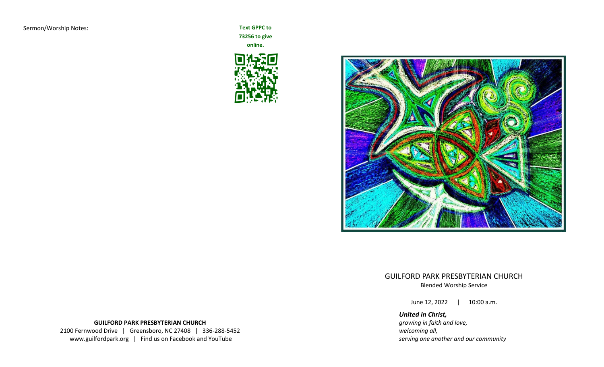**73256 to give** 

**online.**





GUILFORD PARK PRESBYTERIAN CHURCH Blended Worship Service

June 12, 2022 | 10:00 a.m.

*United in Christ, growing in faith and love, welcoming all, serving one another and our community*

# **GUILFORD PARK PRESBYTERIAN CHURCH** 2100 Fernwood Drive | Greensboro, NC 27408 | 336-288-5452 www.guilfordpark.org | Find us on Facebook and YouTube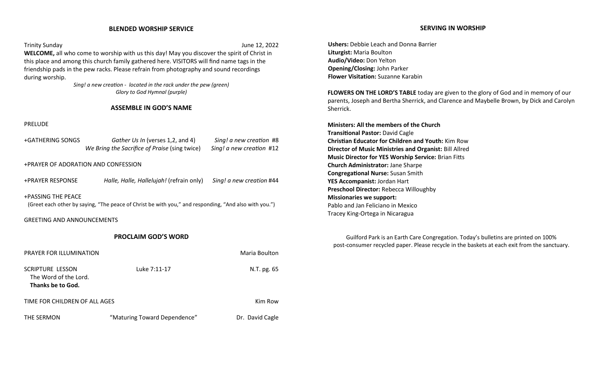### **BLENDED WORSHIP SERVICE**

Trinity Sunday June 12, 2022 **WELCOME,** all who come to worship with us this day! May you discover the spirit of Christ in this place and among this church family gathered here. VISITORS will find name tags in the friendship pads in the pew racks. Please refrain from photography and sound recordings during worship.

> *Sing! a new creation* - *located in the rack under the pew (green) Glory to God Hymnal (purple)*

#### **ASSEMBLE IN GOD'S NAME**

### PRELUDE

| +GATHERING SONGS | Gather Us In (verses 1,2, and 4)              | Sing! a new creation #8  |
|------------------|-----------------------------------------------|--------------------------|
|                  | We Bring the Sacrifice of Praise (sing twice) | Sing! a new creation #12 |

+PRAYER OF ADORATION AND CONFESSION

+PRAYER RESPONSE *Halle, Halle, Hallelujah!* (refrain only) *Sing! a new creation* #44

+PASSING THE PEACE (Greet each other by saying, "The peace of Christ be with you," and responding, "And also with you.")

GREETING AND ANNOUNCEMENTS

# **PROCLAIM GOD'S WORD**

| <b>PRAYER FOR ILLUMINATION</b>                                 |                              | Maria Boulton   |
|----------------------------------------------------------------|------------------------------|-----------------|
| SCRIPTURE LESSON<br>The Word of the Lord.<br>Thanks be to God. | Luke 7:11-17                 | N.T. pg. 65     |
| TIME FOR CHILDREN OF ALL AGES                                  |                              | Kim Row         |
| THE SERMON                                                     | "Maturing Toward Dependence" | Dr. David Cagle |

**Ushers:** Debbie Leach and Donna Barrier **Liturgist:** Maria Boulton **Audio/Video:** Don Yelton **Opening/Closing:** John Parker **Flower Visitation:** Suzanne Karabin

**FLOWERS ON THE LORD'S TABLE** today are given to the glory of God and in memory of our parents, Joseph and Bertha Sherrick, and Clarence and Maybelle Brown, by Dick and Carolyn Sherrick.

**Ministers: All the members of the Church Transitional Pastor:** David Cagle **Christian Educator for Children and Youth:** Kim Row **Director of Music Ministries and Organist:** Bill Allred **Music Director for YES Worship Service:** Brian Fitts **Church Administrator:** Jane Sharpe **Congregational Nurse:** Susan Smith **YES Accompanist:** Jordan Hart **Preschool Director:** Rebecca Willoughby **Missionaries we support:** Pablo and Jan Feliciano in Mexico Tracey King-Ortega in Nicaragua

Guilford Park is an Earth Care Congregation. Today's bulletins are printed on 100% post-consumer recycled paper. Please recycle in the baskets at each exit from the sanctuary.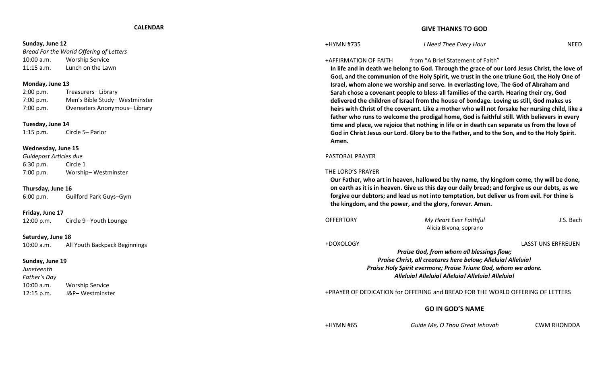#### **CALENDAR**

#### **Sunday, June 12**

*Bread For the World Offering of Letters* 10:00 a.m. Worship Service 11:15 a.m. Lunch on the Lawn

#### **Monday, June 13**

| 2:00 p.m. | Treasurers-Library            |
|-----------|-------------------------------|
| 7:00 p.m. | Men's Bible Study-Westminster |
| 7:00 p.m. | Overeaters Anonymous-Library  |

#### **Tuesday, June 14**

1:15 p.m. Circle 5– Parlor

#### **Wednesday, June 15**

*Guidepost Articles due* 6:30 p.m. Circle 1 7:00 p.m. Worship– Westminster

#### **Thursday, June 16**

6:00 p.m. Guilford Park Guys–Gym

**Friday, June 17** 12:00 p.m. Circle 9– Youth Lounge

# **Saturday, June 18**

10:00 a.m. All Youth Backpack Beginnings

#### **Sunday, June 19**

*Juneteenth Father's Day* 10:00 a.m. Worship Service 12:15 p.m. J&P– Westminster

# **GIVE THANKS TO GOD**

+HYMN #735 *I Need Thee Every Hour* NEED

# +AFFIRMATION OF FAITH from "A Brief Statement of Faith"

**In life and in death we belong to God. Through the grace of our Lord Jesus Christ, the love of God, and the communion of the Holy Spirit, we trust in the one triune God, the Holy One of Israel, whom alone we worship and serve. In everlasting love, The God of Abraham and Sarah chose a covenant people to bless all families of the earth. Hearing their cry, God delivered the children of Israel from the house of bondage. Loving us still, God makes us heirs with Christ of the covenant. Like a mother who will not forsake her nursing child, like a father who runs to welcome the prodigal home, God is faithful still. With believers in every time and place, we rejoice that nothing in life or in death can separate us from the love of God in Christ Jesus our Lord. Glory be to the Father, and to the Son, and to the Holy Spirit. Amen.**

#### PASTORAL PRAYER

#### THE LORD'S PRAYER

**Our Father, who art in heaven, hallowed be thy name, thy kingdom come, thy will be done, on earth as it is in heaven. Give us this day our daily bread; and forgive us our debts, as we forgive our debtors; and lead us not into temptation, but deliver us from evil. For thine is the kingdom, and the power, and the glory, forever. Amen.**

| <b>OFFERTORY</b> | My Heart Ever Faithful<br>Alicia Bivona, soprano                                                                                                                                                                                 | J.S. Bach          |
|------------------|----------------------------------------------------------------------------------------------------------------------------------------------------------------------------------------------------------------------------------|--------------------|
| +DOXOLOGY        | Praise God, from whom all blessings flow;<br>Praise Christ, all creatures here below; Alleluia! Alleluia!<br>Praise Holy Spirit evermore; Praise Triune God, whom we adore.<br>Alleluia! Alleluia! Alleluia! Alleluia! Alleluia! | LASST UNS ERFREUEN |
|                  | <b>+PRAYER OF DEDICATION for OFFERING and BREAD FOR THE WORLD OFFERING OF LETTERS</b>                                                                                                                                            |                    |

# **GO IN GOD'S NAME**

+HYMN #65 *Guide Me, O Thou Great Jehovah* CWM RHONDDA